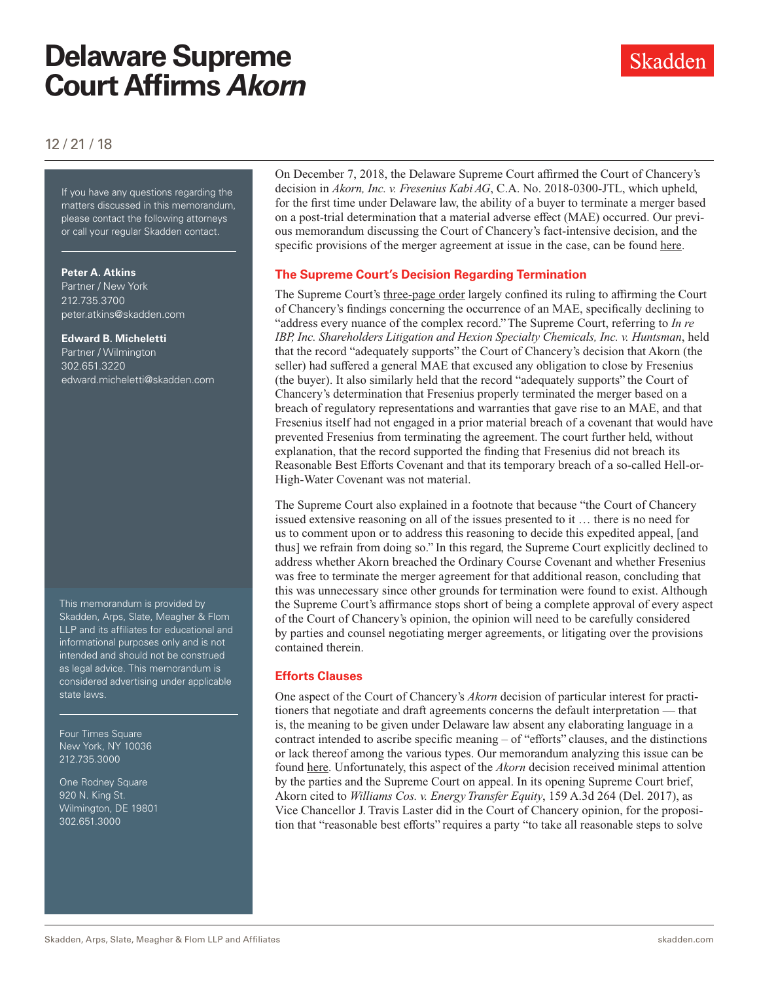# **Delaware Supreme Court Affirms** *Akorn*

# 12 / 21 / 18

If you have any questions regarding If you have any questions regarding the matters discussed in this memorandum, please contact the following attorneys or call your regular Skadden contact.

#### **Peter A. Atkins**

Partner / New York 212.735.3700 peter.atkins@skadden.com

#### **Edward B. Micheletti**

Partner / Wilmington 302.651.3220 edward.micheletti@skadden.com

This memorandum is provided by Skadden, Arps, Slate, Meagher & Flom LLP and its affiliates for educational and informational purposes only and is not intended and should not be construed as legal advice. This memorandum is considered advertising under applicable state laws.

Four Times Square New York, NY 10036 212.735.3000

One Rodney Square 920 N. King St. Wilmington, DE 19801 302.651.3000

On December 7, 2018, the Delaware Supreme Court affirmed the Court of Chancery's decision in *Akorn, Inc. v. Fresenius Kabi AG*, C.A. No. 2018-0300-JTL, which upheld, for the first time under Delaware law, the ability of a buyer to terminate a merger based on a post-trial determination that a material adverse effect (MAE) occurred. Our previous memorandum discussing the Court of Chancery's fact-intensive decision, and the specific provisions of the merger agreement at issue in the case, can be found [here](https://www.skadden.com/insights/publications/2018/10/analyzing-akorn).

## **The Supreme Court's Decision Regarding Termination**

The Supreme Court's [three-page order](http://www.skadden.com/-/media/files/publications/2018/12/delaware-supreme-court-affirms-akorn/akorn-inc-vs-fresenius-kabi-ag-supreme-court-order.pdf) largely confined its ruling to affirming the Court of Chancery's findings concerning the occurrence of an MAE, specifically declining to "address every nuance of the complex record." The Supreme Court, referring to *In re IBP, Inc. Shareholders Litigation and Hexion Specialty Chemicals, Inc. v. Huntsman*, held that the record "adequately supports" the Court of Chancery's decision that Akorn (the seller) had suffered a general MAE that excused any obligation to close by Fresenius (the buyer). It also similarly held that the record "adequately supports" the Court of Chancery's determination that Fresenius properly terminated the merger based on a breach of regulatory representations and warranties that gave rise to an MAE, and that Fresenius itself had not engaged in a prior material breach of a covenant that would have prevented Fresenius from terminating the agreement. The court further held, without explanation, that the record supported the finding that Fresenius did not breach its Reasonable Best Efforts Covenant and that its temporary breach of a so-called Hell-or-High-Water Covenant was not material.

The Supreme Court also explained in a footnote that because "the Court of Chancery issued extensive reasoning on all of the issues presented to it … there is no need for us to comment upon or to address this reasoning to decide this expedited appeal, [and thus] we refrain from doing so." In this regard, the Supreme Court explicitly declined to address whether Akorn breached the Ordinary Course Covenant and whether Fresenius was free to terminate the merger agreement for that additional reason, concluding that this was unnecessary since other grounds for termination were found to exist. Although the Supreme Court's affirmance stops short of being a complete approval of every aspect of the Court of Chancery's opinion, the opinion will need to be carefully considered by parties and counsel negotiating merger agreements, or litigating over the provisions contained therein.

## **Efforts Clauses**

One aspect of the Court of Chancery's *Akorn* decision of particular interest for practitioners that negotiate and draft agreements concerns the default interpretation — that is, the meaning to be given under Delaware law absent any elaborating language in a contract intended to ascribe specific meaning – of "efforts" clauses, and the distinctions or lack thereof among the various types. Our memorandum analyzing this issue can be found [here](https://www.skadden.com/insights/publications/2018/10/reasonable-efforts-clauses-in-delaware). Unfortunately, this aspect of the *Akorn* decision received minimal attention by the parties and the Supreme Court on appeal. In its opening Supreme Court brief, Akorn cited to *Williams Cos. v. Energy Transfer Equity*, 159 A.3d 264 (Del. 2017), as Vice Chancellor J. Travis Laster did in the Court of Chancery opinion, for the proposition that "reasonable best efforts" requires a party "to take all reasonable steps to solve